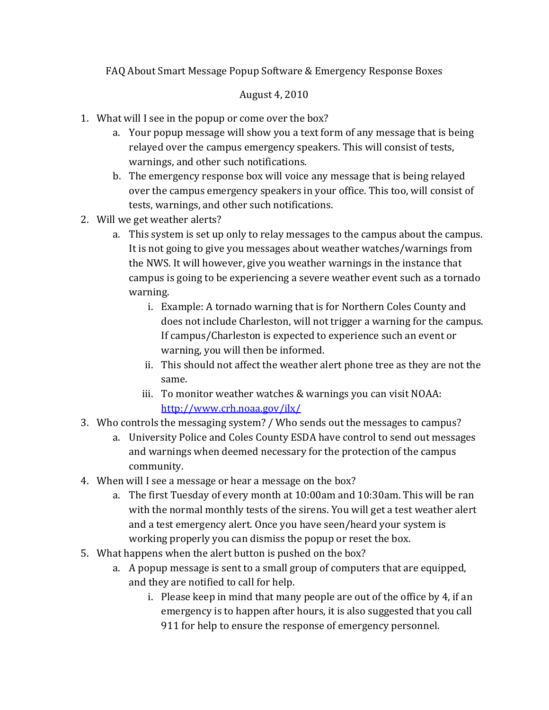FAQ About Smart Message Popup Software & Emergency Response Boxes

## August 4, 2010

- 1. What will I see in the popup or come over the box?
	- a. Your popup message will show you a text form of any message that is being relayed over the campus emergency speakers. This will consist of tests, warnings, and other such notifications.
	- b. The emergency response box will voice any message that is being relayed over the campus emergency speakers in your office. This too, will consist of tests, warnings, and other such notifications.
- 2. Will we get weather alerts?
	- a. This system is set up only to relay messages to the campus about the campus. It is not going to give you messages about weather watches/warnings from the NWS. It will however, give you weather warnings in the instance that campus is going to be experiencing a severe weather event such as a tornado warning.
		- i. Example: A tornado warning that is for Northern Coles County and does not include Charleston, will not trigger a warning for the campus. If campus/Charleston is expected to experience such an event or warning, you will then be informed.
		- ii. This should not affect the weather alert phone tree as they are not the same.
		- iii. To monitor weather watches & warnings you can visit NOAA: http://www.crh.noaa.gov/ilx/
- 3. Who controls the messaging system? / Who sends out the messages to campus?
	- a. University Police and Coles County ESDA have control to send out messages and warnings when deemed necessary for the protection of the campus community.
- 4. When will I see a message or hear a message on the box?
	- a. The first Tuesday of every month at 10:00am and 10:30am. This will be ran with the normal monthly tests of the sirens. You will get a test weather alert and a test emergency alert. Once you have seen/heard your system is working properly you can dismiss the popup or reset the box.
- 5. What happens when the alert button is pushed on the box?
	- a. A popup message is sent to a small group of computers that are equipped, and they are notified to call for help.
		- i. Please keep in mind that many people are out of the office by 4, if an emergency is to happen after hours, it is also suggested that you call 911 for help to ensure the response of emergency personnel.